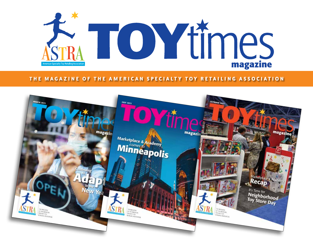

## **THE MAGAZINE OF THE AMERICAN SPECIALTY TOY RETAILING ASSOCIATION**

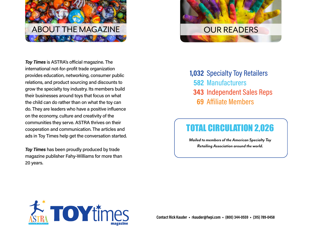

*Toy Times* is ASTRA's official magazine. The international not-for-profit trade organization provides education, networking, consumer public relations, and product sourcing and discounts to grow the specialty toy industry. Its members build their businesses around toys that focus on what the child can do rather than on what the toy can do. They are leaders who have a positive influence on the economy, culture and creativity of the communities they serve. ASTRA thrives on their cooperation and communication. The articles and ads in Toy Times help get the conversation started.

*Toy Times* has been proudly produced by trade magazine publisher Fahy-Williams for more than 20 years.



1,032 Specialty Toy Retailers 582 Manufacturers **343 Independent Sales Reps** Affiliate Members **69**

# TOTAL CIRCULATION 2,026

*Mailed to members of the American Specialty Toy Retailing Association around the world.*

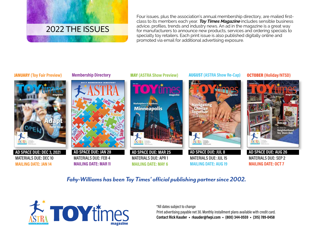

Four issues, plus the association's annual membership directory, are mailed firstclass to its members each year. **Toy Times Magazine** includes sensible business advice, profiles, trends and industry news. An ad in the magazine is a great way for manufacturers to announce new products, services and ordering specials to specialty toy retailers. Each print issue is also published digitally online and promoted via email for additional advertising exposure.

#### **JANUARY (Toy Fair Preview) Membership Directory MAY (ASTRA Show Preview)**



 **AD SPACE DUE: DEC 3, 2021** MATERIALS DUE: DEC 10 **MAILING DATE: JAN 14**

### **Membership Directory**



 MATERIALS DUE: FEB 4 **MAILING DATE: MAR 11**



 **AD SPACE DUE: MAR 25** MATERIALS DUE: APR 1 **MAILING DATE: MAY 6**

AUGUST **(ASTRA Show Re-Cap)**



 MATERIALS DUE: JUL 15 **MAILING DATE: AUG 19** OCTOBER **(Holiday/NTSD)**



 **AD SPACE DUE: AUG 26** MATERIALS DUE: SEP 2 **MAILING DATE: OCT 7**

*Fahy-Williams has been Toy Times' official publishing partner since 2002.*



**Learn**

**Parents**

**Clever**

**Fun**

\*All dates subject to change

Print advertising payable net 30. Monthly installment plans available with credit card. **Contact Rick Kauder ◆ rkauder@fwpi.com ◆ (800) 344-0559 ◆ (315) 789-0458**